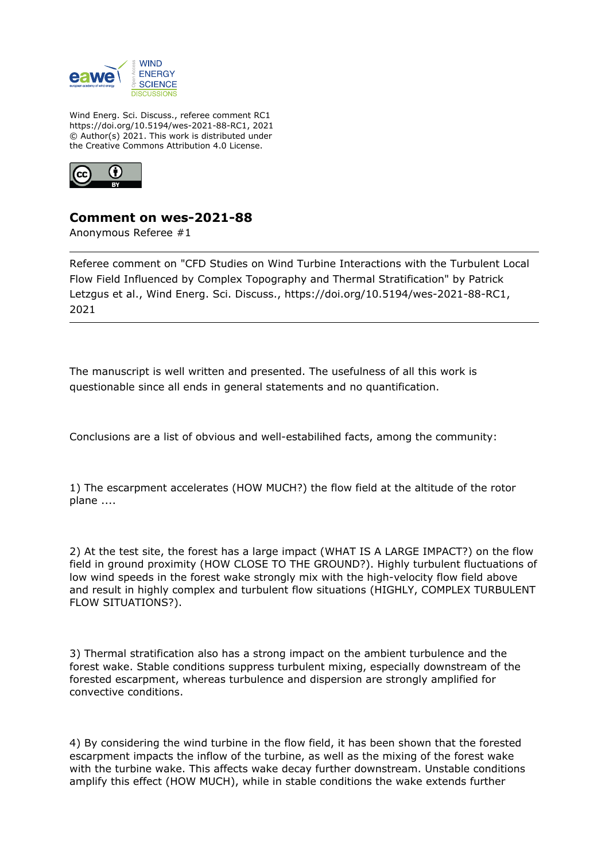

Wind Energ. Sci. Discuss., referee comment RC1 https://doi.org/10.5194/wes-2021-88-RC1, 2021 © Author(s) 2021. This work is distributed under the Creative Commons Attribution 4.0 License.



## **Comment on wes-2021-88**

Anonymous Referee #1

Referee comment on "CFD Studies on Wind Turbine Interactions with the Turbulent Local Flow Field Influenced by Complex Topography and Thermal Stratification" by Patrick Letzgus et al., Wind Energ. Sci. Discuss., https://doi.org/10.5194/wes-2021-88-RC1, 2021

The manuscript is well written and presented. The usefulness of all this work is questionable since all ends in general statements and no quantification.

Conclusions are a list of obvious and well-estabilihed facts, among the community:

1) The escarpment accelerates (HOW MUCH?) the flow field at the altitude of the rotor plane ....

2) At the test site, the forest has a large impact (WHAT IS A LARGE IMPACT?) on the flow field in ground proximity (HOW CLOSE TO THE GROUND?). Highly turbulent fluctuations of low wind speeds in the forest wake strongly mix with the high-velocity flow field above and result in highly complex and turbulent flow situations (HIGHLY, COMPLEX TURBULENT FLOW SITUATIONS?).

3) Thermal stratification also has a strong impact on the ambient turbulence and the forest wake. Stable conditions suppress turbulent mixing, especially downstream of the forested escarpment, whereas turbulence and dispersion are strongly amplified for convective conditions.

4) By considering the wind turbine in the flow field, it has been shown that the forested escarpment impacts the inflow of the turbine, as well as the mixing of the forest wake with the turbine wake. This affects wake decay further downstream. Unstable conditions amplify this effect (HOW MUCH), while in stable conditions the wake extends further